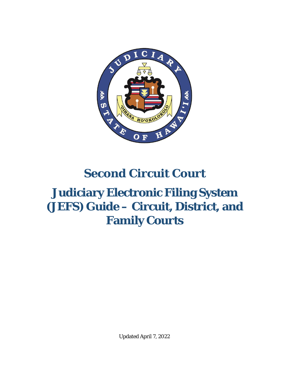

# **Second Circuit Court**

# **Judiciary Electronic Filing System (JEFS) Guide – Circuit, District, and Family Courts**

Updated April 7, 2022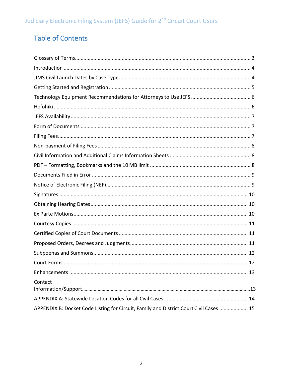# <span id="page-1-0"></span>Table of Contents

| Contact                                                                                |
|----------------------------------------------------------------------------------------|
|                                                                                        |
| APPENDIX B: Docket Code Listing for Circuit, Family and District Court Civil Cases  15 |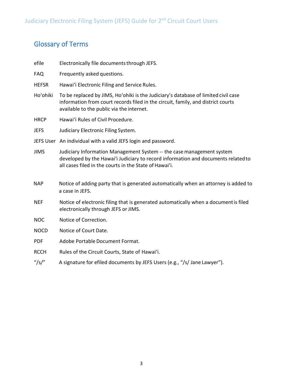# <span id="page-2-0"></span>Glossary of Terms

- efile Electronically file documents through JEFS.
- FAQ Frequently asked questions.
- HEFSR Hawaiʻi Electronic Filing and Service Rules.
- Hoʻohiki To be replaced by JIMS, Hoʻohiki is the Judiciary's database of limited civil case information from court records filed in the circuit, family, and district courts available to the public via the internet.
- HRCP Hawaiʻi Rules of Civil Procedure.
- JEFS Judiciary Electronic Filing System.
- JEFS User An individual with a valid JEFS login and password.
- JIMS Judiciary Information Management System -- the casemanagement system developed by the Hawaiʻi Judiciary to record information and documents relatedto all cases filed in the courts in the State of Hawai'i.
- NAP Notice of adding party that is generated automatically when an attorney is added to a case in JEFS.
- NEF Notice of electronic filing that is generated automatically when a documentis filed electronically through JEFS or JIMS.
- NOC Notice of Correction.
- NOCD Notice of Court Date.
- PDF Adobe Portable Document Format.
- RCCH Rules of the Circuit Courts, State of Hawai'i.
- "/s/" A signature for efiled documents by JEFS Users (e.g., "/s/ Jane Lawyer").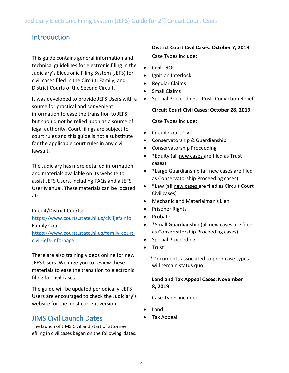# Introduction

This guide contains general information and technical guidelines for electronic filing in the Judiciary's Electronic Filing System (JEFS) for civil cases filed in the Circuit, Family, and District Courts of the Second Circuit.

It was developed to provide JEFS Users with a source for practical and convenient information to ease the transition to JEFS, but should not be relied upon as a source of legal authority. Court filings are subject to court rules and this guide is not a substitute for the applicable court rules in any civil lawsuit.

The Judiciary has more detailed information and materials available on its website to assist JEFS Users, including FAQs and a JEFS User Manual. These materials can be located at:

Circuit/District Courts:

<https://www.courts.state.hi.us/civiljefsinfo> Family Court: [https://www.courts.state.hi.us/family-court](https://www.courts.state.hi.us/family-court-civil-jefs-info-page)[civil-jefs-info-page](https://www.courts.state.hi.us/family-court-civil-jefs-info-page)

There are also training videos online for new JEFS Users. We urge you to review these materials to ease the transition to electronic filing for civil cases.

The guide will be updated periodically. JEFS Users are encouraged to check the Judiciary's website for the most current version.

# <span id="page-3-0"></span>JIMS Civil Launch Dates

The launch of JIMS Civil and start of attorney efiling in civil cases began on the following dates:

### **District Court Civil Cases: October 7, 2019**

Case Types include:

- Civil TROs
- Ignition Interlock
- Regular Claims
- Small Claims
- Special Proceedings Post- Conviction Relief

**Circuit Court Civil Cases: October 28, 2019**

Case Types include:

- Circuit Court Civil
- Conservatorship & Guardianship
- Conservatorship Proceeding
- \*Equity (all new cases are filed as Trust cases)
- \*Large Guardianship (all new cases are filed as Conservatorship Proceeding cases)
- \*Law (all new cases are filed as Circuit Court Civil cases)
- Mechanic and Materialman's Lien
- Prisoner Rights
- Probate
- \*Small Guardianship (all new cases are filed as Conservatorship Proceeding cases)
- Special Proceeding
- Trust
	- \*Documents associated to prior case types will remain status quo

### **Land and Tax Appeal Cases: November 8, 2019**

Case Types include:

- Land
- Tax Appeal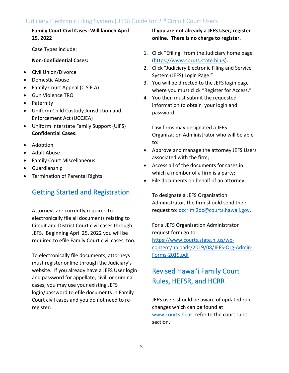### **Family Court Civil Cases: Will launch April 25, 2022**

Case Types include:

#### **Non-Confidential Cases:**

- Civil Union/Divorce
- Domestic Abuse
- Family Court Appeal (C.S.E.A)
- Gun Violence TRO
- Paternity
- Uniform Child Custody Jurisdiction and Enforcement Act (UCCJEA)
- Uniform Interstate Family Support (UIFS) **Confidential Cases:**
- Adoption
- Adult Abuse
- Family Court Miscellaneous
- Guardianship
- Termination of Parental Rights

### Getting Started and Registration

Attorneys are currently required to electronically file all documents relating to Circuit and District Court civil cases through JEFS. Beginning April 25, 2022 you will be required to efile Family Court civil cases, too.

To electronically file documents, attorneys must register online through the Judiciary's website. If you already have a JEFS User login and password for appellate, civil, or criminal cases, you may use your existing JEFS login/password to efile documents in Family Court civil cases and you do not need to reregister.

### **If you are not already a JEFS User, register online. There is no charge to register.**

- 1. Click "Efiling" from the Judiciary home page [\(https://www.coruts.state.hi.us\)](https://www.coruts.state.hi.us/).
- 2. Click "Judiciary Electronic Filing and Service System (JEFS) Login Page."
- 3. You will be directed to the JEFS login page where you must click "Register for Access."
- 4. You then must submit the requested information to obtain your login and password.

Law firms may designated a JFES Organization Administrator who will be able to:

- Approve and manage the attorney JEFS Users associated with the firm;
- Access all of the documents for cases in which a member of a firm is a party;
- File documents on behalf of an attorney.

To designate a JEFS Organization Administrator, the firm should send their request to: [dccrim.2dc@courts.hawaii.gov.](mailto:dccrim.2dc@courts.hawaii.gov)

For a JEFS Organization Administrator request form go to: [https://www.courts.state.hi.us/wp](https://www.courts.state.hi.us/wp-content/uploads/2019/08/JEFS-Org-Admin-Forms-2019.pdf)[content/uploads/2019/08/JEFS-Org-Admin-](https://www.courts.state.hi.us/wp-content/uploads/2019/08/JEFS-Org-Admin-Forms-2019.pdf)[Forms-2019.pdf](https://www.courts.state.hi.us/wp-content/uploads/2019/08/JEFS-Org-Admin-Forms-2019.pdf)

# Revised Hawai'i Family Court Rules, HEFSR, and HCRR

JEFS users should be aware of updated rule changes which can be found at [www.courts.hi.us,](http://www.courts.hi.us/) refer to the court rules section.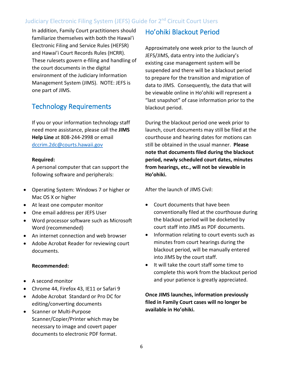In addition, Family Court practitioners should familiarize themselves with both the Hawai'i Electronic Filing and Service Rules (HEFSR) and Hawai'i Court Records Rules (HCRR). These rulesets govern e-filing and handling of the court documents in the digital environment of the Judiciary Information Management System (JIMS). NOTE: JEFS is one part of JIMS.

# Technology Requirements

If you or your information technology staff need more assistance, please call the **JIMS Help Line** at 808-244-2998 or email [dccrim.2dc@courts.hawaii.gov](mailto:dccrim.2dc@courts.hawaii.gov)

#### **Required:**

A personal computer that can support the following software and peripherals:

- Operating System: Windows 7 or higher or Mac OS X or higher
- At least one computer monitor
- One email address per JEFS User
- Word processor software such as Microsoft Word (recommended)
- An internet connection and web browser
- Adobe Acrobat Reader for reviewing court documents.

#### **Recommended:**

- A second monitor
- Chrome 44, Firefox 43, IE11 or Safari 9
- Adobe Acrobat Standard or Pro DC for editing/converting documents
- Scanner or Multi-Purpose Scanner/Copier/Printer which may be necessary to image and covert paper documents to electronic PDF format.

# Ho'ohiki Blackout Period

Approximately one week prior to the launch of JEFS/JIMS, data entry into the Judiciary's existing case management system will be suspended and there will be a blackout period to prepare for the transition and migration of data to JIMS. Consequently, the data that will be viewable online in Ho'ohiki will represent a "last snapshot" of case information prior to the blackout period.

During the blackout period one week prior to launch, court documents may still be filed at the courthouse and hearing dates for motions can still be obtained in the usual manner. **Please note that documents filed during the blackout period, newly scheduled court dates, minutes from hearings, etc., will not be viewable in Ho'ohiki.**

After the launch of JIMS Civil:

- Court documents that have been conventionally filed at the courthouse during the blackout period will be docketed by court staff into JIMS as PDF documents.
- Information relating to court events such as minutes from court hearings during the blackout period, will be manually entered into JIMS by the court staff.
- It will take the court staff some time to complete this work from the blackout period and your patience is greatly appreciated.

### **Once JIMS launches, information previously filed in Family Court cases will no longer be available in Ho'ohiki.**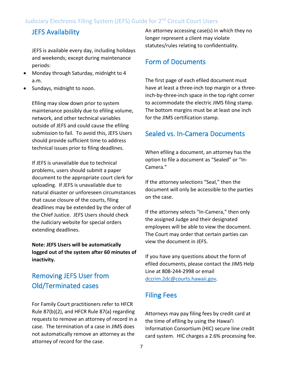# JEFS Availability

JEFS is available every day, including holidays and weekends; except during maintenance periods:

- Monday through Saturday, midnight to 4 a.m.
- Sundays, midnight to noon.

Efiling may slow down prior to system maintenance possibly due to efiling volume, network, and other technical variables outside of JEFS and could cause the efiling submission to fail. To avoid this, JEFS Users should provide sufficient time to address technical issues prior to filing deadlines.

If JEFS is unavailable due to technical problems, users should submit a paper document to the appropriate court clerk for uploading. If JEFS is unavailable due to natural disaster or unforeseen circumstances that cause closure of the courts, filing deadlines may be extended by the order of the Chief Justice. JEFS Users should check the Judiciary website for special orders extending deadlines.

**Note: JEFS Users will be automatically logged out of the system after 60 minutes of inactivity.**

# Removing JEFS User from Old/Terminated cases

For Family Court practitioners refer to HFCR Rule 87(b)(2), and HFCR Rule 87(a) regarding requests to remove an attorney of record in a case. The termination of a case in JIMS does not automatically remove an attorney as the attorney of record for the case.

An attorney accessing case(s) in which they no longer represent a client may violate statutes/rules relating to confidentiality.

## Form of Documents

The first page of each efiled document must have at least a three-inch top margin or a threeinch-by-three-inch space in the top right corner to accommodate the electric JIMS filing stamp. The bottom margins must be at least one inch for the JIMS certification stamp.

# Sealed vs. In-Camera Documents

When efiling a document, an attorney has the option to file a document as "Sealed" or "In-Camera."

If the attorney selections "Seal," then the document will only be accessible to the parties on the case.

If the attorney selects "In-Camera," then only the assigned Judge and their designated employees will be able to view the document. The Court may order that certain parties can view the document in JEFS.

If you have any questions about the form of efiled documents, please contact the JIMS Help Line at 808-244-2998 or email [dccrim.2dc@courts.hawaii.gov.](mailto:dccrim.2dc@courts.hawaii.gov)

# Filing Fees

Attorneys may pay filing fees by credit card at the time of efiling by using the Hawai'i Information Consortium (HIC) secure line credit card system. HIC charges a 2.6% processing fee.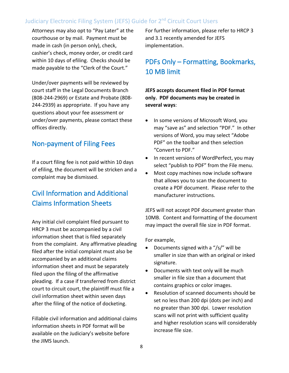Attorneys may also opt to "Pay Later" at the courthouse or by mail. Payment must be made in cash (in person only), check, cashier's check, money order, or credit card within 10 days of efiling. Checks should be made payable to the "Clerk of the Court."

Under/over payments will be reviewed by court staff in the Legal Documents Branch (808-244-2969) or Estate and Probate (808- 244-2939) as appropriate. If you have any questions about your fee assessment or under/over payments, please contact these offices directly.

# Non-payment of Filing Fees

If a court filing fee is not paid within 10 days of efiling, the document will be stricken and a complaint may be dismissed.

# Civil Information and Additional Claims Information Sheets

Any initial civil complaint filed pursuant to HRCP 3 must be accompanied by a civil information sheet that is filed separately from the complaint. Any affirmative pleading filed after the initial complaint must also be accompanied by an additional claims information sheet and must be separately filed upon the filing of the affirmative pleading. If a case if transferred from district court to circuit court, the plaintiff must file a civil information sheet within seven days after the filing of the notice of docketing.

Fillable civil information and additional claims information sheets in PDF format will be available on the Judiciary's website before the JIMS launch.

For further information, please refer to HRCP 3 and 3.1 recently amended for JEFS implementation.

# PDFs Only – Formatting, Bookmarks, 10 MB limit

**JEFS accepts document filed in PDF format only. PDF documents may be created in several ways**:

- In some versions of Microsoft Word, you may "save as" and selection "PDF." In other versions of Word, you may select "Adobe PDF" on the toolbar and then selection "Convert to PDF."
- In recent versions of WordPerfect, you may select "publish to PDF" from the File menu.
- Most copy machines now include software that allows you to scan the document to create a PDF document. Please refer to the manufacturer instructions.

JEFS will not accept PDF document greater than 10MB. Content and formatting of the document may impact the overall file size in PDF format.

For example,

- Documents signed with a "/s/" will be smaller in size than with an original or inked signature.
- Documents with text only will be much smaller in file size than a document that contains graphics or color images.
- Resolution of scanned documents should be set no less than 200 dpi (dots per inch) and no greater than 300 dpi. Lower resolution scans will not print with sufficient quality and higher resolution scans will considerably increase file size.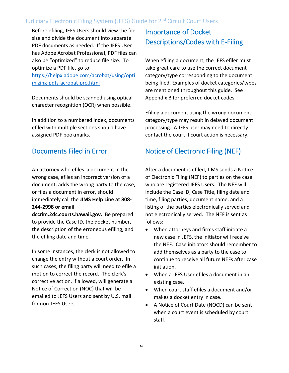Before efiling, JEFS Users should view the file size and divide the document into separate PDF documents as needed. If the JEFS User has Adobe Acrobat Professional, PDF files can also be "optimized" to reduce file size. To optimize a PDF file, go to: [https://helpx.adobe.com/acrobat/using/opti](https://helpx.adobe.com/acrobat/using/optimizing-pdfs-acrobat-pro.html) [mizing-pdfs-acrobat-pro.html](https://helpx.adobe.com/acrobat/using/optimizing-pdfs-acrobat-pro.html)

Documents should be scanned using optical character recognition (OCR) when possible.

In addition to a numbered index, documents efiled with multiple sections should have assigned PDF bookmarks.

# Documents Filed in Error

An attorney who efiles a document in the wrong case, efiles an incorrect version of a document, adds the wrong party to the case, or files a document in error, should immediately call the **JIMS Help Line at 808- 244-2998 or email**

**dccrim.2dc.courts.hawaii.gov.** Be prepared to provide the Case ID, the docket number, the description of the erroneous efiling, and the efiling date and time.

In some instances, the clerk is not allowed to change the entry without a court order. In such cases, the filing party will need to efile a motion to correct the record. The clerk's corrective action, if allowed, will generate a Notice of Correction (NOC) that will be emailed to JEFS Users and sent by U.S. mail for non-JEFS Users.

# Importance of Docket Descriptions/Codes with E-Filing

When efiling a document, the JEFS efiler must take great care to use the correct document category/type corresponding to the document being filed. Examples of docket categories/types are mentioned throughout this guide. See Appendix B for preferred docket codes.

Efiling a document using the wrong document category/type may result in delayed document processing. A JEFS user may need to directly contact the court if court action is necessary.

# Notice of Electronic Filing (NEF)

After a document is efiled, JIMS sends a Notice of Electronic Filing (NEF) to parties on the case who are registered JEFS Users. The NEF will include the Case ID, Case Title, filing date and time, filing parties, document name, and a listing of the parties electronically served and not electronically served. The NEF is sent as follows:

- When attorneys and firms staff initiate a new case in JEFS, the initiator will receive the NEF. Case initiators should remember to add themselves as a party to the case to continue to receive all future NEFs after case initiation.
- When a JEFS User efiles a document in an existing case.
- When court staff efiles a document and/or makes a docket entry in case.
- A Notice of Court Date (NOCD) can be sent when a court event is scheduled by court staff.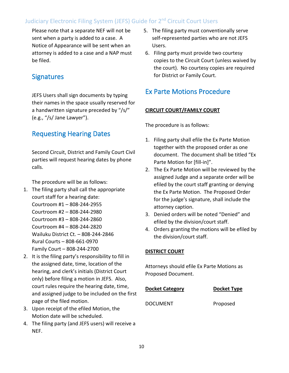Please note that a separate NEF will not be sent when a party is added to a case. A Notice of Appearance will be sent when an attorney is added to a case and a NAP must be filed.

### **Signatures**

JEFS Users shall sign documents by typing their names in the space usually reserved for a handwritten signature preceded by "/s/" (e.g., "/s/ Jane Lawyer").

# Requesting Hearing Dates

Second Circuit, District and Family Court Civil parties will request hearing dates by phone calls.

The procedure will be as follows:

- 1. The filing party shall call the appropriate court staff for a hearing date: Courtroom #1 – 808-244-2955 Courtroom #2 – 808-244-2980 Courtroom #3 – 808-244-2860 Courtroom #4 – 808-244-2820 Wailuku District Ct. – 808-244-2846 Rural Courts – 808-661-0970 Family Court – 808-244-2700
- 2. It is the filing party's responsibility to fill in the assigned date, time, location of the hearing, and clerk's initials (District Court only) before filing a motion in JEFS. Also, court rules require the hearing date, time, and assigned judge to be included on the first page of the filed motion.
- 3. Upon receipt of the efiled Motion, the Motion date will be scheduled.
- 4. The filing party (and JEFS users) will receive a NEF.
- 5. The filing party must conventionally serve self-represented parties who are not JEFS Users.
- 6. Filing party must provide two courtesy copies to the Circuit Court (unless waived by the court). No courtesy copies are required for District or Family Court.

## Ex Parte Motions Procedure

#### **CIRCUIT COURT/FAMILY COURT**

The procedure is as follows:

- 1. Filing party shall efile the Ex Parte Motion together with the proposed order as one document. The document shall be titled "Ex Parte Motion for [fill-in]".
- 2. The Ex Parte Motion will be reviewed by the assigned Judge and a separate order will be efiled by the court staff granting or denying the Ex Parte Motion. The Proposed Order for the judge's signature, shall include the attorney caption.
- 3. Denied orders will be noted "Denied" and efiled by the division/court staff.
- 4. Orders granting the motions will be efiled by the division/court staff.

#### **DISTRICT COURT**

Attorneys should efile Ex Parte Motions as Proposed Document.

| <b>Docket Category</b> | <b>Docket Type</b> |
|------------------------|--------------------|
|                        |                    |

DOCUMENT Proposed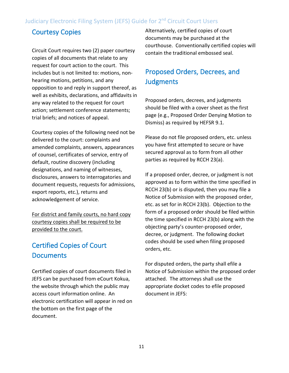# Courtesy Copies

Circuit Court requires two (2) paper courtesy copies of all documents that relate to any request for court action to the court. This includes but is not limited to: motions, nonhearing motions, petitions, and any opposition to and reply in support thereof, as well as exhibits, declarations, and affidavits in any way related to the request for court action; settlement conference statements; trial briefs; and notices of appeal.

Courtesy copies of the following need not be delivered to the court: complaints and amended complaints, answers, appearances of counsel, certificates of service, entry of default, routine discovery (including designations, and naming of witnesses, disclosures, answers to interrogatories and document requests, requests for admissions, export reports, etc.), returns and acknowledgement of service.

For district and family courts, no hard copy courtesy copies shall be required to be provided to the court.

# Certified Copies of Court **Documents**

Certified copies of court documents filed in JEFS can be purchased from eCourt Kokua, the website through which the public may access court information online. An electronic certification will appear in red on the bottom on the first page of the document.

Alternatively, certified copies of court documents may be purchased at the courthouse. Conventionally certified copies will contain the traditional embossed seal.

# Proposed Orders, Decrees, and **Judgments**

Proposed orders, decrees, and judgments should be filed with a cover sheet as the first page (e.g., Proposed Order Denying Motion to Dismiss) as required by HEFSR 9.1.

Please do not file proposed orders, etc. unless you have first attempted to secure or have secured approval as to form from all other parties as required by RCCH 23(a).

If a proposed order, decree, or judgment is not approved as to form within the time specified in RCCH 23(b) or is disputed, then you may file a Notice of Submission with the proposed order, etc. as set for in RCCH 23(b). Objection to the form of a proposed order should be filed within the time specified in RCCH 23(b) along with the objecting party's counter-proposed order, decree, or judgment. The following docket codes should be used when filing proposed orders, etc.

For disputed orders, the party shall efile a Notice of Submission within the proposed order attached. The attorneys shall use the appropriate docket codes to efile proposed document in JEFS: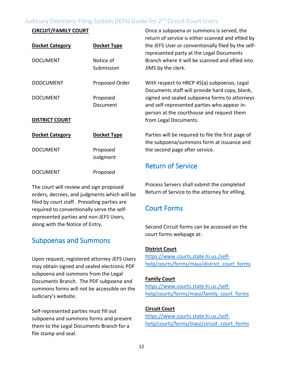#### **CIRCUIT/FAMILY COURT**

| <b>Docket Category</b> | Docket Type             | return of service is either scanned and efiled by<br>the JEFS User or conventionally filed by the self-<br>represented party at the Legal Documents |
|------------------------|-------------------------|-----------------------------------------------------------------------------------------------------------------------------------------------------|
| <b>DOCUMENT</b>        | Notice of<br>Submission | Branch where it will be scanned and efiled into<br>JIMS by the clerk.                                                                               |
| <b>DODCUMENT</b>       | Proposed Order          | With respect to HRCP 45(a) subpoenas, Legal<br>Documents staff will provide hard copy, blank,                                                       |
| <b>DOCUMENT</b>        | Proposed<br>Document    | signed and sealed subpoena forms to attorneys<br>and self-represented parties who appear in-<br>person at the courthouse and request them           |
| <b>DISTRICT COURT</b>  |                         | from Legal Documents.                                                                                                                               |
| <b>Docket Category</b> | Docket Type             | Parties will be required to file the first page of<br>the subpoena/summons form at issuance and                                                     |
| <b>DOCUMENT</b>        | Proposed<br>Judgment    | the second page after service.                                                                                                                      |
| <b>DOCUMENT</b>        | Proposed                | <b>Return of Service</b>                                                                                                                            |

The court will review and sign proposed orders, decrees, and judgments which will be filed by court staff. Prevailing parties are required to conventionally serve the selfrepresented parties and non-JEFS Users, along with the Notice of Entry.

# Subpoenas and Summons

Upon request, registered attorney JEFS Users may obtain signed and sealed electronic PDF subpoena and summons from the Legal Documents Branch. The PDF subpoena and summons forms will not be accessible on the Judiciary's website.

Self-represented parties must fill out subpoena and summons forms and present them to the Legal Documents Branch for a file stamp and seal.

Process Servers shall submit the completed Return of Service to the attorney for efiling.

Once a subpoena or summons is served, the

# Court Forms

Second Circuit forms can be accessed on the court forms webpage at:

#### **District Court**

[https://www.courts.state.hi.us./self](https://www.courts.state.hi.us./self-help/courts/forms/maui/district_court_forms)[help/courts/forms/maui/district\\_court\\_forms](https://www.courts.state.hi.us./self-help/courts/forms/maui/district_court_forms)

#### **Family Court**

[https://www.courts.state.hi.us./self](https://www.courts.state.hi.us./self-help/courts/forms/maui/family_court_forms)[help/courts/forms/maui/family\\_court\\_forms](https://www.courts.state.hi.us./self-help/courts/forms/maui/family_court_forms)

#### **Circuit Court**

[https://www.courts.state.hi.us./self](https://www.courts.state.hi.us./self-help/courts/forms/maui/circuit_court_forms)[help/courts/forms/maui/circuit\\_court\\_forms](https://www.courts.state.hi.us./self-help/courts/forms/maui/circuit_court_forms)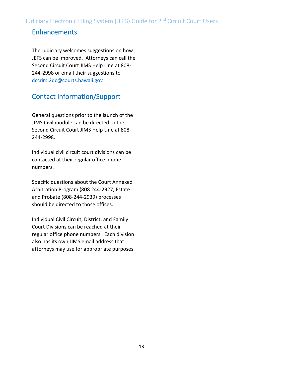# Enhancements

The Judiciary welcomes suggestions on how JEFS can be improved. Attorneys can call the Second Circuit Court JIMS Help Line at 808- 244-2998 or email their suggestions to [dccrim.2dc@courts.hawaii.gov](mailto:dccrim.2dc@courts.hawaii.gov)

# Contact Information/Support

General questions prior to the launch of the JIMS Civil module can be directed to the Second Circuit Court JIMS Help Line at 808- 244-2998.

Individual civil circuit court divisions can be contacted at their regular office phone numbers.

Specific questions about the Court Annexed Arbitration Program (808 244-2927, Estate and Probate (808-244-2939) processes should be directed to those offices.

Individual Civil Circuit, District, and Family Court Divisions can be reached at their regular office phone numbers. Each division also has its own JIMS email address that attorneys may use for appropriate purposes.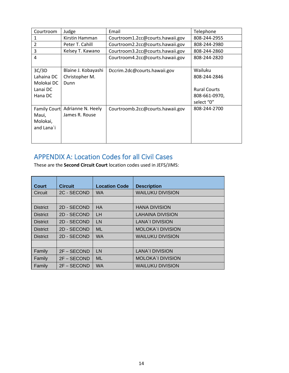<span id="page-13-0"></span>

| Courtroom           | Judge               | Email                            | Telephone           |
|---------------------|---------------------|----------------------------------|---------------------|
|                     | Kirstin Hamman      | Courtroom1.2cc@courts.hawaii.gov | 808-244-2955        |
| 2                   | Peter T. Cahill     | Courtroom2.2cc@courts.hawaii.gov | 808-244-2980        |
| 3                   | Kelsey T. Kawano    | Courtroom3.2cc@courts.hawaii.gov | 808-244-2860        |
| 4                   |                     | Courtroom4.2cc@courts.hawaii.gov | 808-244-2820        |
|                     |                     |                                  |                     |
| 3C/3D               | Blaine J. Kobayashi | Dccrim.2dc@courts.hawaii.gov     | Wailuku             |
| Lahaina DC          | Christopher M.      |                                  | 808-244-2846        |
| Molokai DC          | Dunn                |                                  |                     |
| Lanai DC            |                     |                                  | <b>Rural Courts</b> |
| Hana DC             |                     |                                  | 808-661-0970,       |
|                     |                     |                                  | select "0"          |
| <b>Family Court</b> | Adrianne N. Heely   | Courtroomb.2cc@courts.hawaii.gov | 808-244-2700        |
| Maui,               | James R. Rouse      |                                  |                     |
| Molokai,            |                     |                                  |                     |
| and Lana`i          |                     |                                  |                     |
|                     |                     |                                  |                     |
|                     |                     |                                  |                     |

# APPENDIX A: Location Codes for all Civil Cases

These are the **Second Circuit Court** location codes used in JEFS/JIMS:

| Court           | <b>Circuit</b> | <b>Location Code</b> | <b>Description</b>       |
|-----------------|----------------|----------------------|--------------------------|
| Circuit         | 2C - SECOND    | <b>WA</b>            | <b>WAILUKU DIVISION</b>  |
|                 |                |                      |                          |
| <b>District</b> | 2D - SECOND    | <b>HA</b>            | <b>HANA DIVISION</b>     |
| <b>District</b> | 2D - SECOND    | <b>LH</b>            | <b>LAHAINA DIVISION</b>  |
| <b>District</b> | 2D - SECOND    | LN                   | LANA'I DIVISION          |
| <b>District</b> | 2D - SECOND    | <b>ML</b>            | <b>MOLOKA'I DIVISION</b> |
| <b>District</b> | 2D - SECOND    | <b>WA</b>            | <b>WAILUKU DIVISION</b>  |
|                 |                |                      |                          |
| Family          | 2F - SECOND    | LN                   | <b>LANA'I DIVISION</b>   |
| Family          | 2F - SECOND    | <b>ML</b>            | <b>MOLOKA'I DIVISION</b> |
| Family          | $2F - SECOND$  | <b>WA</b>            | <b>WAILUKU DIVISION</b>  |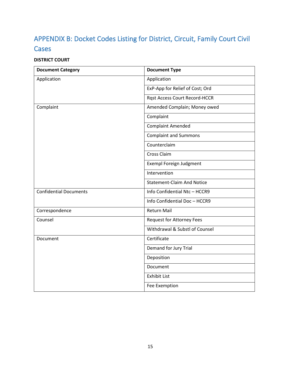# APPENDIX B: Docket Codes Listing for District, Circuit, Family Court Civil **Cases**

### **DISTRICT COURT**

| <b>Document Category</b>      | <b>Document Type</b>                 |
|-------------------------------|--------------------------------------|
| Application                   | Application                          |
|                               | ExP-App for Relief of Cost; Ord      |
|                               | <b>Rgst Access Court Record-HCCR</b> |
| Complaint                     | Amended Complain; Money owed         |
|                               | Complaint                            |
|                               | <b>Complaint Amended</b>             |
|                               | <b>Complaint and Summons</b>         |
|                               | Counterclaim                         |
|                               | Cross Claim                          |
|                               | Exempl Foreign Judgment              |
|                               | Intervention                         |
|                               | <b>Statement-Claim And Notice</b>    |
| <b>Confidential Documents</b> | Info Confidential Ntc-HCCR9          |
|                               | Info Confidential Doc-HCCR9          |
| Correspondence                | <b>Return Mail</b>                   |
| Counsel                       | <b>Request for Attorney Fees</b>     |
|                               | Withdrawal & Substl of Counsel       |
| Document                      | Certificate                          |
|                               | Demand for Jury Trial                |
|                               | Deposition                           |
|                               | Document                             |
|                               | <b>Exhibit List</b>                  |
|                               | Fee Exemption                        |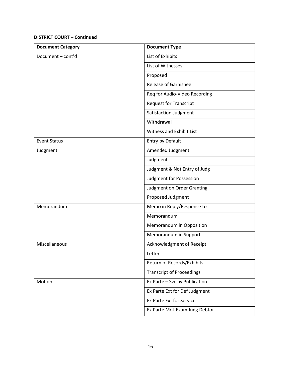| <b>Document Category</b> | <b>Document Type</b>             |
|--------------------------|----------------------------------|
| Document - cont'd        | List of Exhibits                 |
|                          | List of Witnesses                |
|                          | Proposed                         |
|                          | <b>Release of Garnishee</b>      |
|                          | Req for Audio-Video Recording    |
|                          | <b>Request for Transcript</b>    |
|                          | Satisfaction-Judgment            |
|                          | Withdrawal                       |
|                          | <b>Witness and Exhibit List</b>  |
| <b>Event Status</b>      | Entry by Default                 |
| Judgment                 | Amended Judgment                 |
|                          | Judgment                         |
|                          | Judgment & Not Entry of Judg     |
|                          | Judgment for Possession          |
|                          | Judgment on Order Granting       |
|                          | Proposed Judgment                |
| Memorandum               | Memo in Reply/Response to        |
|                          | Memorandum                       |
|                          | Memorandum in Opposition         |
|                          | Memorandum in Support            |
| Miscellaneous            | Acknowledgment of Receipt        |
|                          | Letter                           |
|                          | Return of Records/Exhibits       |
|                          | <b>Transcript of Proceedings</b> |
| Motion                   | Ex Parte - Svc by Publication    |
|                          | Ex Parte Ext for Def Judgment    |
|                          | <b>Ex Parte Ext for Services</b> |
|                          | Ex Parte Mot-Exam Judg Debtor    |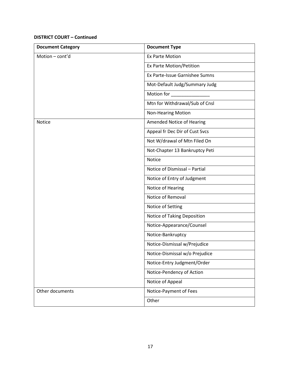| <b>Document Category</b> | <b>Document Type</b>           |
|--------------------------|--------------------------------|
| Motion - cont'd          | <b>Ex Parte Motion</b>         |
|                          | Ex Parte Motion/Petition       |
|                          | Ex Parte-Issue Garnishee Sumns |
|                          | Mot-Default Judg/Summary Judg  |
|                          | Motion for                     |
|                          | Mtn for Withdrawal/Sub of Cnsl |
|                          | <b>Non-Hearing Motion</b>      |
| Notice                   | Amended Notice of Hearing      |
|                          | Appeal fr Dec Dir of Cust Svcs |
|                          | Not W/drawal of Mtn Filed On   |
|                          | Not-Chapter 13 Bankruptcy Peti |
|                          | Notice                         |
|                          | Notice of Dismissal - Partial  |
|                          | Notice of Entry of Judgment    |
|                          | Notice of Hearing              |
|                          | Notice of Removal              |
|                          | Notice of Setting              |
|                          | Notice of Taking Deposition    |
|                          | Notice-Appearance/Counsel      |
|                          | Notice-Bankruptcy              |
|                          | Notice-Dismissal w/Prejudice   |
|                          | Notice-Dismissal w/o Prejudice |
|                          | Notice-Entry Judgment/Order    |
|                          | Notice-Pendency of Action      |
|                          | Notice of Appeal               |
| Other documents          | Notice-Payment of Fees         |
|                          | Other                          |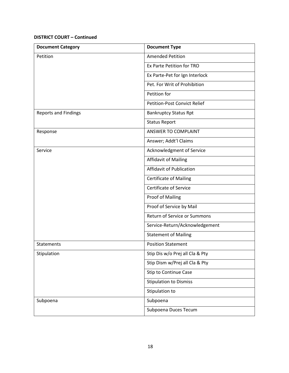| <b>Document Category</b>    | <b>Document Type</b>            |
|-----------------------------|---------------------------------|
| Petition                    | <b>Amended Petition</b>         |
|                             | Ex Parte Petition for TRO       |
|                             | Ex Parte-Pet for Ign Interlock  |
|                             | Pet. For Writ of Prohibition    |
|                             | Petition for                    |
|                             | Petition-Post Convict Relief    |
| <b>Reports and Findings</b> | <b>Bankruptcy Status Rpt</b>    |
|                             | <b>Status Report</b>            |
| Response                    | ANSWER TO COMPLAINT             |
|                             | Answer; Addt'l Claims           |
| Service                     | Acknowledgment of Service       |
|                             | <b>Affidavit of Mailing</b>     |
|                             | Affidavit of Publication        |
|                             | <b>Certificate of Mailing</b>   |
|                             | <b>Certificate of Service</b>   |
|                             | <b>Proof of Mailing</b>         |
|                             | Proof of Service by Mail        |
|                             | Return of Service or Summons    |
|                             | Service-Return/Acknowledgement  |
|                             | <b>Statement of Mailing</b>     |
| <b>Statements</b>           | <b>Position Statement</b>       |
| Stipulation                 | Stip Dis w/o Prej all Cla & Pty |
|                             | Stip Dism w/Prej all Cla & Pty  |
|                             | Stip to Continue Case           |
|                             | <b>Stipulation to Dismiss</b>   |
|                             | Stipulation to                  |
| Subpoena                    | Subpoena                        |
|                             | Subpoena Duces Tecum            |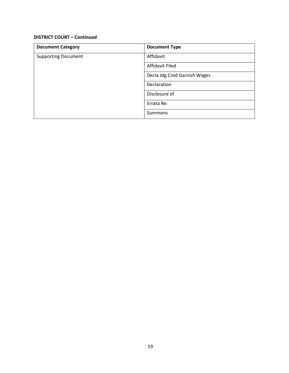| <b>Document Category</b>   | <b>Document Type</b>         |
|----------------------------|------------------------------|
| <b>Supporting Document</b> | Affidavit                    |
|                            | <b>Affidavit Filed</b>       |
|                            | Decla Jdg Cred Garnish Wages |
|                            | Declaration                  |
|                            | Disclosure of                |
|                            | Errata Re:                   |
|                            | <b>Summons</b>               |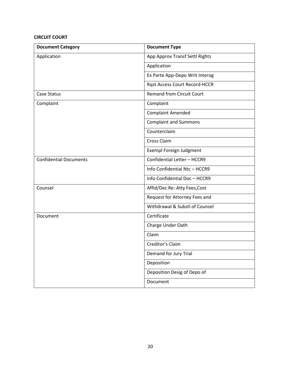#### **CIRCUIT COURT**

| <b>Document Category</b>      | <b>Document Type</b>                 |
|-------------------------------|--------------------------------------|
| Application                   | App Approv Transf Settl Rights       |
|                               | Application                          |
|                               | Ex Parte App-Depo Writ Interog       |
|                               | <b>Rqst Access Court Record-HCCR</b> |
| Case Status                   | <b>Remand from Circuit Court</b>     |
| Complaint                     | Complaint                            |
|                               | <b>Complaint Amended</b>             |
|                               | <b>Complaint and Summons</b>         |
|                               | Counterclaim                         |
|                               | Cross Claim                          |
|                               | <b>Exempl Foreign Judgment</b>       |
| <b>Confidential Documents</b> | Confidential Letter - HCCR9          |
|                               | Info Confidential Ntc - HCCR9        |
|                               | Info Confidential Doc - HCCR9        |
| Counsel                       | Affid/Dec Re: Atty Fees, Cost        |
|                               | Request for Attorney Fees and        |
|                               | Withdrawal & Substl of Counsel       |
| Document                      | Certificate                          |
|                               | Charge Under Oath                    |
|                               | Claim                                |
|                               | Creditor's Claim                     |
|                               | Demand for Jury Trial                |
|                               | Deposition                           |
|                               | Deposition Desig of Depo of          |
|                               | Document                             |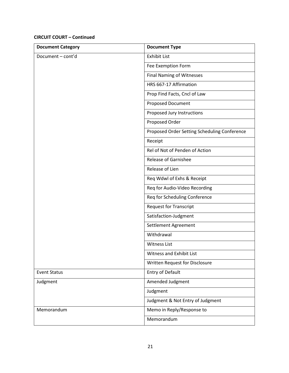| <b>Document Category</b> | <b>Document Type</b>                         |
|--------------------------|----------------------------------------------|
| Document - cont'd        | <b>Exhibit List</b>                          |
|                          | Fee Exemption Form                           |
|                          | <b>Final Naming of Witnesses</b>             |
|                          | HRS 667-17 Affirmation                       |
|                          | Prop Find Facts, Cncl of Law                 |
|                          | Proposed Document                            |
|                          | Proposed Jury Instructions                   |
|                          | Proposed Order                               |
|                          | Proposed Order Setting Scheduling Conference |
|                          | Receipt                                      |
|                          | Rel of Not of Penden of Action               |
|                          | <b>Release of Garnishee</b>                  |
|                          | Release of Lien                              |
|                          | Req Wdwl of Exhs & Receipt                   |
|                          | Req for Audio-Video Recording                |
|                          | Req for Scheduling Conference                |
|                          | <b>Request for Transcript</b>                |
|                          | Satisfaction-Judgment                        |
|                          | Settlement Agreement                         |
|                          | Withdrawal                                   |
|                          | <b>Witness List</b>                          |
|                          | Witness and Exhibit List                     |
|                          | Written Request for Disclosure               |
| <b>Event Status</b>      | Entry of Default                             |
| Judgment                 | Amended Judgment                             |
|                          | Judgment                                     |
|                          | Judgment & Not Entry of Judgment             |
| Memorandum               | Memo in Reply/Response to                    |
|                          | Memorandum                                   |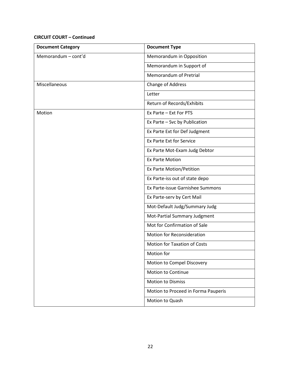| <b>Document Category</b> | <b>Document Type</b>                |
|--------------------------|-------------------------------------|
| Memorandum - cont'd      | Memorandum in Opposition            |
|                          | Memorandum in Support of            |
|                          | Memorandum of Pretrial              |
| Miscellaneous            | Change of Address                   |
|                          | Letter                              |
|                          | Return of Records/Exhibits          |
| Motion                   | Ex Parte - Ext For PTS              |
|                          | Ex Parte - Svc by Publication       |
|                          | Ex Parte Ext for Def Judgment       |
|                          | Ex Parte Ext for Service            |
|                          | Ex Parte Mot-Exam Judg Debtor       |
|                          | <b>Ex Parte Motion</b>              |
|                          | Ex Parte Motion/Petition            |
|                          | Ex Parte-iss out of state depo      |
|                          | Ex Parte-issue Garnishee Summons    |
|                          | Ex Parte-serv by Cert Mail          |
|                          | Mot-Default Judg/Summary Judg       |
|                          | Mot-Partial Summary Judgment        |
|                          | Mot for Confirmation of Sale        |
|                          | Motion for Reconsideration          |
|                          | <b>Motion for Taxation of Costs</b> |
|                          | Motion for                          |
|                          | Motion to Compel Discovery          |
|                          | <b>Motion to Continue</b>           |
|                          | <b>Motion to Dismiss</b>            |
|                          | Motion to Proceed in Forma Pauperis |
|                          | Motion to Quash                     |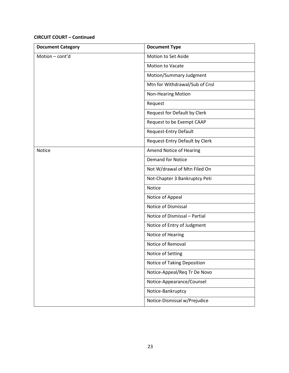| <b>Document Category</b> | <b>Document Type</b>           |
|--------------------------|--------------------------------|
| Motion - cont'd          | Motion to Set Aside            |
|                          | Motion to Vacate               |
|                          | Motion/Summary Judgment        |
|                          | Mtn for Withdrawal/Sub of Cnsl |
|                          | <b>Non-Hearing Motion</b>      |
|                          | Request                        |
|                          | Request for Default by Clerk   |
|                          | Request to be Exempt CAAP      |
|                          | Request-Entry Default          |
|                          | Request-Entry Default by Clerk |
| Notice                   | Amend Notice of Hearing        |
|                          | <b>Demand for Notice</b>       |
|                          | Not W/drawal of Mtn Filed On   |
|                          | Not-Chapter 3 Bankruptcy Peti  |
|                          | Notice                         |
|                          | Notice of Appeal               |
|                          | Notice of Dismissal            |
|                          | Notice of Dismissal - Partial  |
|                          | Notice of Entry of Judgment    |
|                          | Notice of Hearing              |
|                          | Notice of Removal              |
|                          | Notice of Setting              |
|                          | Notice of Taking Deposition    |
|                          | Notice-Appeal/Req Tr De Novo   |
|                          | Notice-Appearance/Counsel      |
|                          | Notice-Bankruptcy              |
|                          | Notice-Dismissal w/Prejudice   |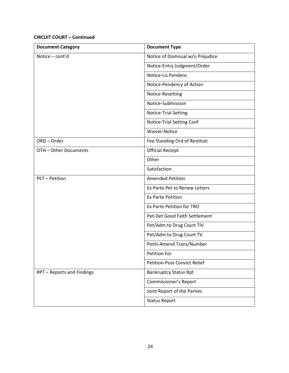| <b>Document Category</b>   | <b>Document Type</b>                |
|----------------------------|-------------------------------------|
| Notice - cont'd            | Notice of Dismissal w/o Prejudice   |
|                            | Notice-Entry Judgment/Order         |
|                            | Notice-Lis Pendens                  |
|                            | Notice-Pendency of Action           |
|                            | Notice-Resetting                    |
|                            | Notice-Submission                   |
|                            | Notice-Trial Setting                |
|                            | Notice-Trial Setting Conf           |
|                            | Waiver-Notice                       |
| ORD-Order                  | Fee Standing Ord of Restituti       |
| OTH - Other Documents      | <b>Official Receipt</b>             |
|                            | Other                               |
|                            | Satisfaction                        |
| PET - Petition             | <b>Amended Petition</b>             |
|                            | Ex Parte Pet to Renew Letters       |
|                            | <b>Ex Parte Petition</b>            |
|                            | Ex Parte Petition for TRO           |
|                            | Pet-Det Good Faith Settlement       |
|                            | Pet/Adm to Drug Court TIV           |
|                            | Pet/Adm to Drug Court TV            |
|                            | Petiti-Amend Trans/Number           |
|                            | Petition For                        |
|                            | <b>Petition-Post Convict Relief</b> |
| RPT - Reports and Findings | <b>Bankruptcy Status Rpt</b>        |
|                            | Commissioner's Report               |
|                            | Joint Report of the Parties         |
|                            | <b>Status Report</b>                |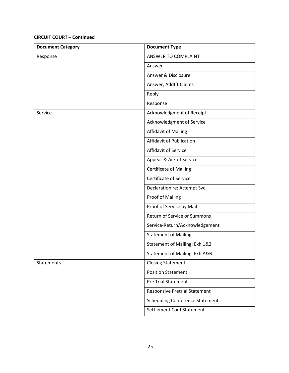| <b>Document Category</b> | <b>Document Type</b>                   |
|--------------------------|----------------------------------------|
| Response                 | ANSWER TO COMPLAINT                    |
|                          | Answer                                 |
|                          | Answer & Disclosure                    |
|                          | Answer; Addt't Claims                  |
|                          | Reply                                  |
|                          | Response                               |
| Service                  | Acknowledgment of Receipt              |
|                          | Acknowledgment of Service              |
|                          | <b>Affidavit of Mailing</b>            |
|                          | <b>Affidavit of Publication</b>        |
|                          | <b>Affidavit of Service</b>            |
|                          | Appear & Ack of Service                |
|                          | <b>Certificate of Mailing</b>          |
|                          | <b>Certificate of Service</b>          |
|                          | Declaration re: Attempt Svc            |
|                          | Proof of Mailing                       |
|                          | Proof of Service by Mail               |
|                          | Return of Service or Summons           |
|                          | Service-Return/Acknowledgement         |
|                          | <b>Statement of Mailing</b>            |
|                          | Statement of Mailing: Exh 1&2          |
|                          | Statement of Mailing: Exh A&B          |
| Statements               | <b>Closing Statement</b>               |
|                          | <b>Position Statement</b>              |
|                          | <b>Pre Trial Statement</b>             |
|                          | <b>Responsive Pretrial Statement</b>   |
|                          | <b>Scheduling Conference Statement</b> |
|                          | <b>Settlement Conf Statement</b>       |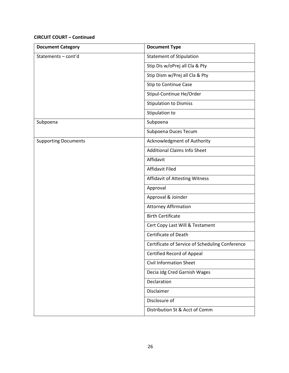| <b>Document Category</b>    | <b>Document Type</b>                            |
|-----------------------------|-------------------------------------------------|
| Statements-cont'd           | <b>Statement of Stipulation</b>                 |
|                             | Stip Dis w/oPrej all Cla & Pty                  |
|                             | Stip Dism w/Prej all Cla & Pty                  |
|                             | Stip to Continue Case                           |
|                             | Stipul-Continue He/Order                        |
|                             | <b>Stipulation to Dismiss</b>                   |
|                             | Stipulation to                                  |
| Subpoena                    | Subpoena                                        |
|                             | Subpoena Duces Tecum                            |
| <b>Supporting Documents</b> | Acknowledgment of Authority                     |
|                             | <b>Additional Claims Info Sheet</b>             |
|                             | Affidavit                                       |
|                             | <b>Affidavit Filed</b>                          |
|                             | Affidavit of Attesting Witness                  |
|                             | Approval                                        |
|                             | Approval & Joinder                              |
|                             | <b>Attorney Affirmation</b>                     |
|                             | <b>Birth Certificate</b>                        |
|                             | Cert Copy Last Will & Testament                 |
|                             | Certificate of Death                            |
|                             | Certificate of Service of Scheduling Conference |
|                             | Certified Record of Appeal                      |
|                             | <b>Civil Information Sheet</b>                  |
|                             | Decia Jdg Cred Garnish Wages                    |
|                             | Declaration                                     |
|                             | Disclaimer                                      |
|                             | Disclosure of                                   |
|                             | Distribution St & Acct of Comm                  |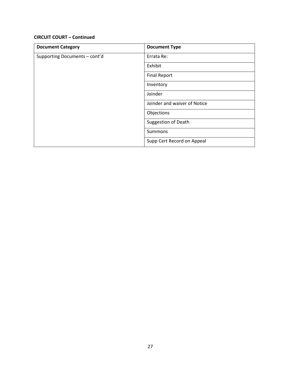| <b>Document Category</b>      | <b>Document Type</b>         |
|-------------------------------|------------------------------|
| Supporting Documents - cont'd | Errata Re:                   |
|                               | Exhibit                      |
|                               | <b>Final Report</b>          |
|                               | Inventory                    |
|                               | Joinder                      |
|                               | Joinder and waiver of Notice |
|                               | Objections                   |
|                               | <b>Suggestion of Death</b>   |
|                               | Summons                      |
|                               | Supp Cert Record on Appeal   |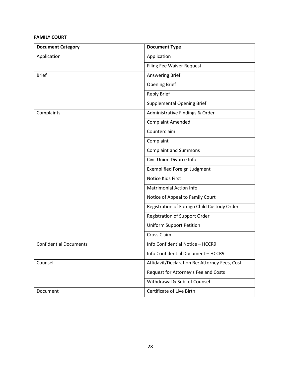#### **FAMILY COURT**

| <b>Document Category</b>      | <b>Document Type</b>                          |
|-------------------------------|-----------------------------------------------|
| Application                   | Application                                   |
|                               | <b>Filing Fee Waiver Request</b>              |
| <b>Brief</b>                  | Answering Brief                               |
|                               | <b>Opening Brief</b>                          |
|                               | <b>Reply Brief</b>                            |
|                               | <b>Supplemental Opening Brief</b>             |
| Complaints                    | Administrative Findings & Order               |
|                               | <b>Complaint Amended</b>                      |
|                               | Counterclaim                                  |
|                               | Complaint                                     |
|                               | <b>Complaint and Summons</b>                  |
|                               | Civil Union Divorce Info                      |
|                               | <b>Exemplified Foreign Judgment</b>           |
|                               | <b>Notice Kids First</b>                      |
|                               | <b>Matrimonial Action Info</b>                |
|                               | Notice of Appeal to Family Court              |
|                               | Registration of Foreign Child Custody Order   |
|                               | <b>Registration of Support Order</b>          |
|                               | <b>Uniform Support Petition</b>               |
|                               | Cross Claim                                   |
| <b>Confidential Documents</b> | Info Confidential Notice - HCCR9              |
|                               | Info Confidential Document - HCCR9            |
| Counsel                       | Affidavit/Declaration Re: Attorney Fees, Cost |
|                               | Request for Attorney's Fee and Costs          |
|                               | Withdrawal & Sub. of Counsel                  |
| Document                      | Certificate of Live Birth                     |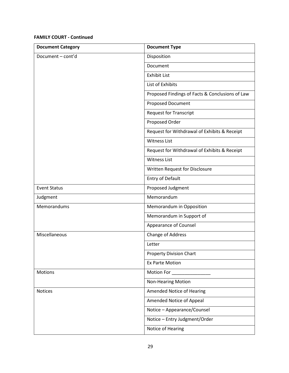| <b>Document Category</b> | <b>Document Type</b>                            |
|--------------------------|-------------------------------------------------|
| Document - cont'd        | Disposition                                     |
|                          | Document                                        |
|                          | <b>Exhibit List</b>                             |
|                          | List of Exhibits                                |
|                          | Proposed Findings of Facts & Conclusions of Law |
|                          | Proposed Document                               |
|                          | <b>Request for Transcript</b>                   |
|                          | Proposed Order                                  |
|                          | Request for Withdrawal of Exhibits & Receipt    |
|                          | <b>Witness List</b>                             |
|                          | Request for Withdrawal of Exhibits & Receipt    |
|                          | <b>Witness List</b>                             |
|                          | Written Request for Disclosure                  |
|                          | <b>Entry of Default</b>                         |
| <b>Event Status</b>      | Proposed Judgment                               |
| Judgment                 | Memorandum                                      |
| Memorandums              | Memorandum in Opposition                        |
|                          | Memorandum in Support of                        |
|                          | Appearance of Counsel                           |
| Miscellaneous            | Change of Address                               |
|                          | Letter                                          |
|                          | <b>Property Division Chart</b>                  |
|                          | <b>Ex Parte Motion</b>                          |
| <b>Motions</b>           | Motion For _                                    |
|                          | <b>Non-Hearing Motion</b>                       |
| Notices                  | Amended Notice of Hearing                       |
|                          | Amended Notice of Appeal                        |
|                          | Notice - Appearance/Counsel                     |
|                          | Notice - Entry Judgment/Order                   |
|                          | Notice of Hearing                               |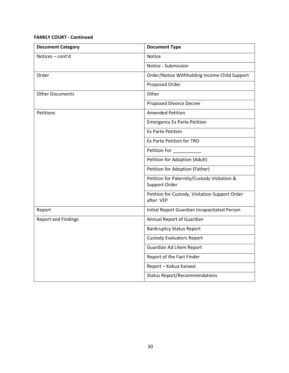| <b>Document Category</b>   | <b>Document Type</b>                                         |
|----------------------------|--------------------------------------------------------------|
| Notices - cont'd           | <b>Notice</b>                                                |
|                            | Notice - Submission                                          |
| Order                      | Order/Notice Withholding Income Child Support                |
|                            | Proposed Order                                               |
| <b>Other Documents</b>     | Other                                                        |
|                            | Proposed Divorce Decree                                      |
| Petitions                  | <b>Amended Petition</b>                                      |
|                            | <b>Emergency Ex Parte Petition</b>                           |
|                            | <b>Ex Parte Petition</b>                                     |
|                            | Ex Parte Petition for TRO                                    |
|                            | Petition For _____                                           |
|                            | Petition for Adoption (Adult)                                |
|                            | Petition for Adoption (Father)                               |
|                            | Petition for Paternity/Custody Visitation &<br>Support Order |
|                            | Petition for Custody, Visitation Support Order<br>after VEP  |
| Report                     | Initial Report Guardian Incapacitated Person                 |
| <b>Report and Findings</b> | Annual Report of Guardian                                    |
|                            | <b>Bankruptcy Status Report</b>                              |
|                            | <b>Custody Evaluators Report</b>                             |
|                            | Guardian Ad Litem Report                                     |
|                            | Report of the Fact Finder                                    |
|                            | Report - Kokua Kanwai                                        |
|                            | <b>Status Report/Recommendations</b>                         |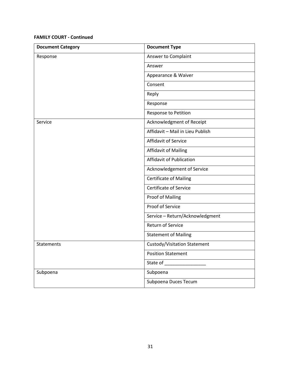| <b>Document Category</b> | <b>Document Type</b>             |
|--------------------------|----------------------------------|
| Response                 | Answer to Complaint              |
|                          | Answer                           |
|                          | Appearance & Waiver              |
|                          | Consent                          |
|                          | Reply                            |
|                          | Response                         |
|                          | Response to Petition             |
| Service                  | Acknowledgment of Receipt        |
|                          | Affidavit - Mail in Lieu Publish |
|                          | Affidavit of Service             |
|                          | <b>Affidavit of Mailing</b>      |
|                          | <b>Affidavit of Publication</b>  |
|                          | Acknowledgement of Service       |
|                          | <b>Certificate of Mailing</b>    |
|                          | <b>Certificate of Service</b>    |
|                          | Proof of Mailing                 |
|                          | Proof of Service                 |
|                          | Service - Return/Acknowledgment  |
|                          | <b>Return of Service</b>         |
|                          | <b>Statement of Mailing</b>      |
| Statements               | Custody/Visitation Statement     |
|                          | <b>Position Statement</b>        |
|                          |                                  |
| Subpoena                 | Subpoena                         |
|                          | Subpoena Duces Tecum             |